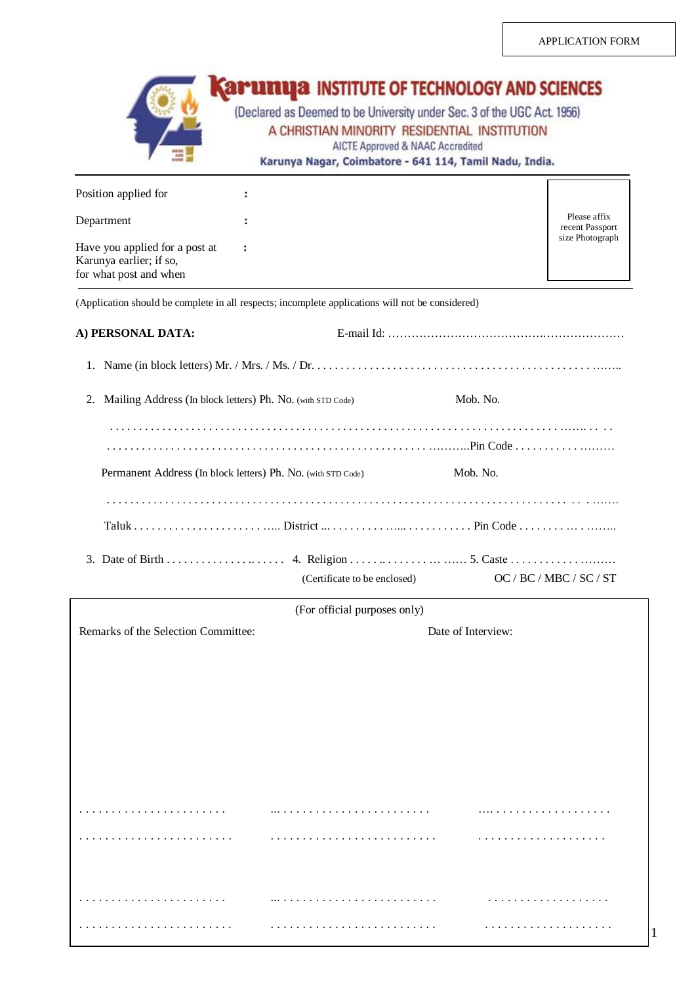|                                                                                                  |                | <b>SAMURIZA INSTITUTE OF TECHNOLOGY AND SCIENCES</b><br>(Declared as Deemed to be University under Sec. 3 of the UGC Act. 1956)<br>A CHRISTIAN MINORITY RESIDENTIAL INSTITUTION<br>AICTE Approved & NAAC Accredited<br>Karunya Nagar, Coimbatore - 641 114, Tamil Nadu, India. |                    |                                 |
|--------------------------------------------------------------------------------------------------|----------------|--------------------------------------------------------------------------------------------------------------------------------------------------------------------------------------------------------------------------------------------------------------------------------|--------------------|---------------------------------|
| Position applied for                                                                             |                |                                                                                                                                                                                                                                                                                |                    |                                 |
| Department                                                                                       |                |                                                                                                                                                                                                                                                                                |                    | Please affix<br>recent Passport |
| Have you applied for a post at<br>Karunya earlier; if so,<br>for what post and when              | $\ddot{\cdot}$ |                                                                                                                                                                                                                                                                                |                    | size Photograph                 |
| (Application should be complete in all respects; incomplete applications will not be considered) |                |                                                                                                                                                                                                                                                                                |                    |                                 |
| A) PERSONAL DATA:                                                                                |                |                                                                                                                                                                                                                                                                                |                    |                                 |
|                                                                                                  |                |                                                                                                                                                                                                                                                                                |                    |                                 |
| 2. Mailing Address (In block letters) Ph. No. (with STD Code)                                    |                |                                                                                                                                                                                                                                                                                | Mob. No.           |                                 |
|                                                                                                  |                |                                                                                                                                                                                                                                                                                |                    |                                 |
| Permanent Address (In block letters) Ph. No. (with STD Code)                                     |                |                                                                                                                                                                                                                                                                                | Mob. No.           |                                 |
|                                                                                                  |                |                                                                                                                                                                                                                                                                                |                    |                                 |
|                                                                                                  |                | (Certificate to be enclosed) OC / BC / MBC / SC / ST                                                                                                                                                                                                                           |                    |                                 |
|                                                                                                  |                | (For official purposes only)                                                                                                                                                                                                                                                   |                    |                                 |
| Remarks of the Selection Committee:                                                              |                |                                                                                                                                                                                                                                                                                | Date of Interview: |                                 |
|                                                                                                  |                |                                                                                                                                                                                                                                                                                |                    |                                 |
|                                                                                                  |                |                                                                                                                                                                                                                                                                                |                    |                                 |
|                                                                                                  |                |                                                                                                                                                                                                                                                                                |                    |                                 |
|                                                                                                  |                |                                                                                                                                                                                                                                                                                |                    |                                 |
|                                                                                                  |                |                                                                                                                                                                                                                                                                                |                    |                                 |
|                                                                                                  |                |                                                                                                                                                                                                                                                                                |                    |                                 |
|                                                                                                  |                |                                                                                                                                                                                                                                                                                |                    |                                 |
|                                                                                                  |                |                                                                                                                                                                                                                                                                                |                    |                                 |
|                                                                                                  |                |                                                                                                                                                                                                                                                                                |                    |                                 |

. . . . . . . . . . . . . . . . . . . . . . . . . . . . . . . . . . . . . . . . . . . . . . . . . . . . . . . . . . . . . . . . . . . . . .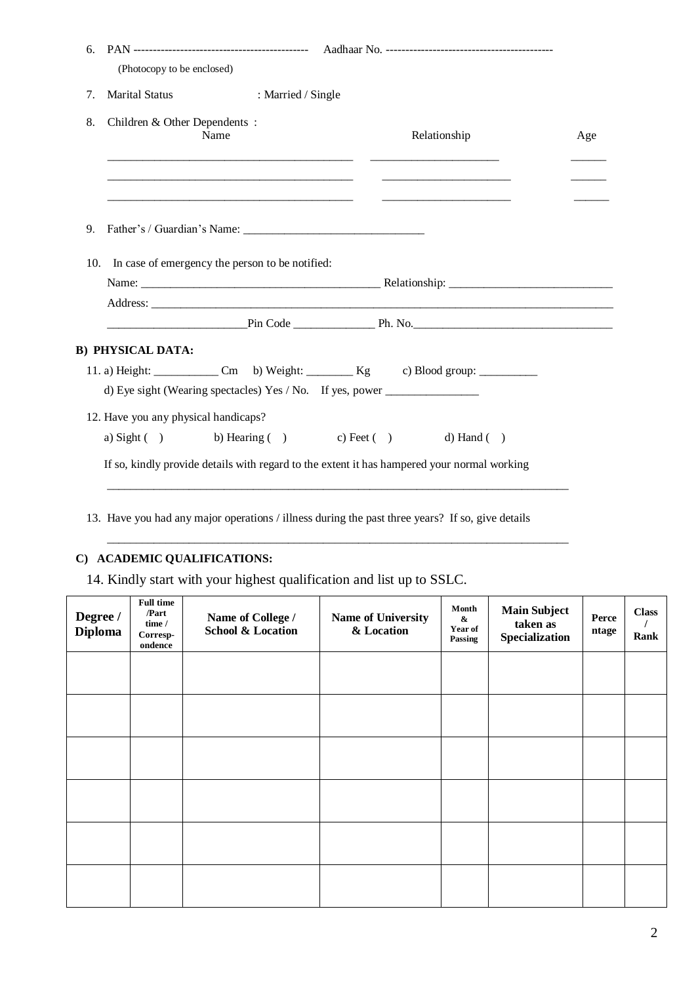| 6.  | (Photocopy to be enclosed)           |                                                 |                                                                                                                                                            |     |
|-----|--------------------------------------|-------------------------------------------------|------------------------------------------------------------------------------------------------------------------------------------------------------------|-----|
| 7.  | <b>Marital Status</b>                | : Married / Single                              |                                                                                                                                                            |     |
| 8.  | Children & Other Dependents:         | Name                                            | Relationship                                                                                                                                               | Age |
|     |                                      |                                                 |                                                                                                                                                            |     |
| 9.  |                                      |                                                 |                                                                                                                                                            |     |
| 10. |                                      | In case of emergency the person to be notified: |                                                                                                                                                            |     |
|     |                                      |                                                 |                                                                                                                                                            |     |
|     |                                      |                                                 |                                                                                                                                                            |     |
|     |                                      |                                                 |                                                                                                                                                            |     |
|     | <b>B) PHYSICAL DATA:</b>             |                                                 |                                                                                                                                                            |     |
|     |                                      |                                                 | 11. a) Height: $\begin{bmatrix} \text{Cm} \\ \text{Dm} \end{bmatrix}$ Cm b) Weight: $\begin{bmatrix} \text{Kg} \\ \text{Eg} \end{bmatrix}$ c) Blood group: |     |
|     |                                      |                                                 | d) Eye sight (Wearing spectacles) Yes / No. If yes, power ______________________                                                                           |     |
|     | 12. Have you any physical handicaps? |                                                 |                                                                                                                                                            |     |
|     |                                      |                                                 | a) Sight ( ) b) Hearing ( ) c) Feet ( ) d) Hand ( )                                                                                                        |     |
|     |                                      |                                                 | If so, kindly provide details with regard to the extent it has hampered your normal working                                                                |     |

13. Have you had any major operations / illness during the past three years? If so, give details

 $\frac{1}{2}$  ,  $\frac{1}{2}$  ,  $\frac{1}{2}$  ,  $\frac{1}{2}$  ,  $\frac{1}{2}$  ,  $\frac{1}{2}$  ,  $\frac{1}{2}$  ,  $\frac{1}{2}$  ,  $\frac{1}{2}$  ,  $\frac{1}{2}$  ,  $\frac{1}{2}$  ,  $\frac{1}{2}$  ,  $\frac{1}{2}$  ,  $\frac{1}{2}$  ,  $\frac{1}{2}$  ,  $\frac{1}{2}$  ,  $\frac{1}{2}$  ,  $\frac{1}{2}$  ,  $\frac{1$ 

# **C) ACADEMIC QUALIFICATIONS:**

14. Kindly start with your highest qualification and list up to SSLC.

| Degree /<br><b>Diploma</b> | <b>Full time</b><br>/Part<br>time /<br>$Corresp-$<br>ondence | Name of College /<br><b>School &amp; Location</b> | <b>Name of University</b><br>& Location | Month<br>&<br>Year of<br>Passing | <b>Main Subject</b><br>taken as<br>Specialization | Perce<br>ntage | <b>Class</b><br>Rank |
|----------------------------|--------------------------------------------------------------|---------------------------------------------------|-----------------------------------------|----------------------------------|---------------------------------------------------|----------------|----------------------|
|                            |                                                              |                                                   |                                         |                                  |                                                   |                |                      |
|                            |                                                              |                                                   |                                         |                                  |                                                   |                |                      |
|                            |                                                              |                                                   |                                         |                                  |                                                   |                |                      |
|                            |                                                              |                                                   |                                         |                                  |                                                   |                |                      |
|                            |                                                              |                                                   |                                         |                                  |                                                   |                |                      |
|                            |                                                              |                                                   |                                         |                                  |                                                   |                |                      |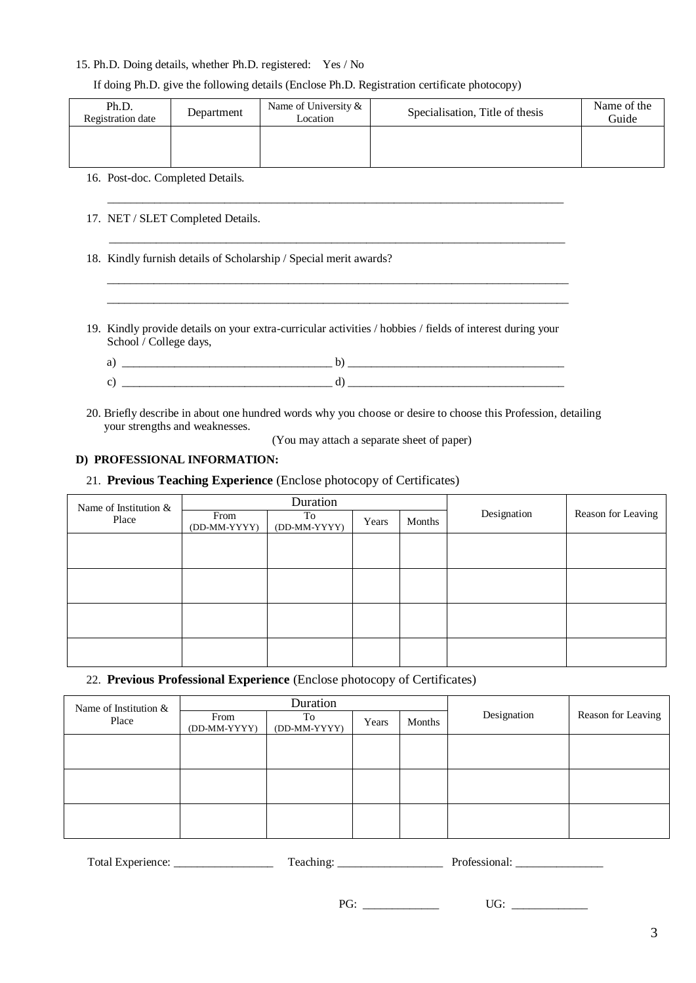## 15. Ph.D. Doing details, whether Ph.D. registered: Yes / No

### If doing Ph.D. give the following details (Enclose Ph.D. Registration certificate photocopy)

| Ph.D.<br>Registration date | Department | Name of University &<br>Location | Specialisation, Title of thesis | Name of the<br>Guide |
|----------------------------|------------|----------------------------------|---------------------------------|----------------------|
|                            |            |                                  |                                 |                      |

16. Post-doc. Completed Details.

17. NET / SLET Completed Details.

18. Kindly furnish details of Scholarship / Special merit awards?

19. Kindly provide details on your extra-curricular activities / hobbies / fields of interest during your School / College days,

 $\frac{1}{2}$  ,  $\frac{1}{2}$  ,  $\frac{1}{2}$  ,  $\frac{1}{2}$  ,  $\frac{1}{2}$  ,  $\frac{1}{2}$  ,  $\frac{1}{2}$  ,  $\frac{1}{2}$  ,  $\frac{1}{2}$  ,  $\frac{1}{2}$  ,  $\frac{1}{2}$  ,  $\frac{1}{2}$  ,  $\frac{1}{2}$  ,  $\frac{1}{2}$  ,  $\frac{1}{2}$  ,  $\frac{1}{2}$  ,  $\frac{1}{2}$  ,  $\frac{1}{2}$  ,  $\frac{1$  $\mathcal{L} = \{ \mathcal{L} = \{ \mathcal{L} = \{ \mathcal{L} = \mathcal{L} \} \mid \mathcal{L} = \{ \mathcal{L} = \{ \mathcal{L} = \mathcal{L} \} \mid \mathcal{L} = \{ \mathcal{L} = \{ \mathcal{L} = \mathcal{L} \} \mid \mathcal{L} = \{ \mathcal{L} = \{ \mathcal{L} = \mathcal{L} = \mathcal{L} = \{ \mathcal{L} = \mathcal{L} = \mathcal{L} \} \mid \mathcal{L} = \{ \mathcal{L} = \{ \mathcal{L} = \mathcal{L} = \{ \mathcal{L} =$ 

| __________ |
|------------|
| ______     |

\_\_\_\_\_\_\_\_\_\_\_\_\_\_\_\_\_\_\_\_\_\_\_\_\_\_\_\_\_\_\_\_\_\_\_\_\_\_\_\_\_\_\_\_\_\_\_\_\_\_\_\_\_\_\_\_\_\_\_\_\_\_\_\_\_\_\_\_\_\_\_\_\_\_\_\_\_\_

 $\_$  ,  $\_$  ,  $\_$  ,  $\_$  ,  $\_$  ,  $\_$  ,  $\_$  ,  $\_$  ,  $\_$  ,  $\_$  ,  $\_$  ,  $\_$  ,  $\_$  ,  $\_$  ,  $\_$  ,  $\_$  ,  $\_$  ,  $\_$  ,  $\_$  ,  $\_$  ,  $\_$  ,  $\_$  ,  $\_$  ,  $\_$  ,  $\_$  ,  $\_$  ,  $\_$  ,  $\_$  ,  $\_$  ,  $\_$  ,  $\_$  ,  $\_$  ,  $\_$  ,  $\_$  ,  $\_$  ,  $\_$  ,  $\_$  ,

20. Briefly describe in about one hundred words why you choose or desire to choose this Profession, detailing your strengths and weaknesses.

(You may attach a separate sheet of paper)

# **D) PROFESSIONAL INFORMATION:**

21. **Previous Teaching Experience** (Enclose photocopy of Certificates)

| Name of Institution & | Duration                             |  |       |        |             |                    |
|-----------------------|--------------------------------------|--|-------|--------|-------------|--------------------|
| Place                 | From<br>(DD-MM-YYYY)<br>(DD-MM-YYYY) |  | Years | Months | Designation | Reason for Leaving |
|                       |                                      |  |       |        |             |                    |
|                       |                                      |  |       |        |             |                    |
|                       |                                      |  |       |        |             |                    |
|                       |                                      |  |       |        |             |                    |
|                       |                                      |  |       |        |             |                    |
|                       |                                      |  |       |        |             |                    |
|                       |                                      |  |       |        |             |                    |
|                       |                                      |  |       |        |             |                    |

22. **Previous Professional Experience** (Enclose photocopy of Certificates)

| Name of Institution $\&$ | Duration             |                    |       |        |             |                    |
|--------------------------|----------------------|--------------------|-------|--------|-------------|--------------------|
| Place                    | From<br>(DD-MM-YYYY) | To<br>(DD-MM-YYYY) | Years | Months | Designation | Reason for Leaving |
|                          |                      |                    |       |        |             |                    |
|                          |                      |                    |       |        |             |                    |
|                          |                      |                    |       |        |             |                    |
|                          |                      |                    |       |        |             |                    |
|                          |                      |                    |       |        |             |                    |
|                          |                      |                    |       |        |             |                    |

| $\mathbf{r}$<br>Total Ex<br>$1.7748$ $0.454$ $0.35$ $0.02$<br>Experience: | <b>TILL</b><br>eac | $\mathbf{D}$ |
|---------------------------------------------------------------------------|--------------------|--------------|
|---------------------------------------------------------------------------|--------------------|--------------|

PG: \_\_\_\_\_\_\_\_\_\_\_\_\_ UG: \_\_\_\_\_\_\_\_\_\_\_\_\_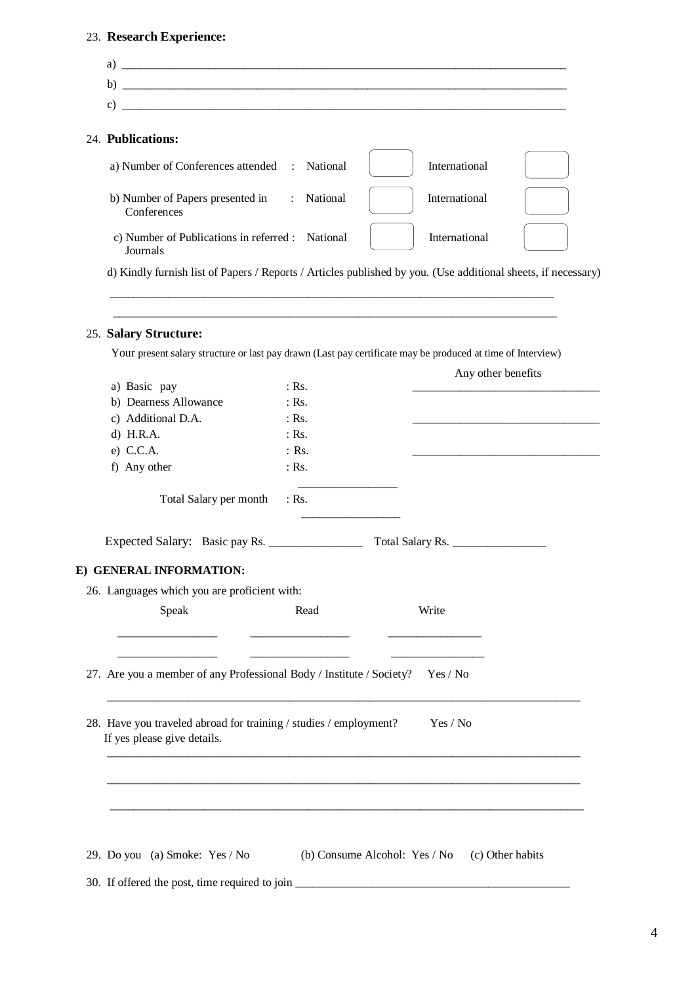# 23. **Research Experience:**

| b) $\overline{\phantom{a}}$<br>c)                                                                                                    |         |                               |                    |                  |
|--------------------------------------------------------------------------------------------------------------------------------------|---------|-------------------------------|--------------------|------------------|
|                                                                                                                                      |         |                               |                    |                  |
| 24. Publications:                                                                                                                    |         |                               |                    |                  |
| a) Number of Conferences attended : National                                                                                         |         |                               | International      |                  |
| b) Number of Papers presented in : National<br>Conferences                                                                           |         |                               | International      |                  |
| c) Number of Publications in referred : National<br>Journals                                                                         |         |                               | International      |                  |
| d) Kindly furnish list of Papers / Reports / Articles published by you. (Use additional sheets, if necessary)                        |         |                               |                    |                  |
|                                                                                                                                      |         |                               |                    |                  |
| 25. Salary Structure:<br>Your present salary structure or last pay drawn (Last pay certificate may be produced at time of Interview) |         |                               |                    |                  |
|                                                                                                                                      |         |                               | Any other benefits |                  |
| a) Basic pay                                                                                                                         | $:$ Rs. |                               |                    |                  |
| b) Dearness Allowance                                                                                                                | $:$ Rs. |                               |                    |                  |
| c) Additional D.A.                                                                                                                   | $:$ Rs. |                               |                    |                  |
| $d)$ H.R.A.                                                                                                                          | $:$ Rs. |                               |                    |                  |
| e) C.C.A.                                                                                                                            | $:$ Rs. |                               |                    |                  |
| f) Any other                                                                                                                         | $:$ Rs. |                               |                    |                  |
| Total Salary per month                                                                                                               | $:$ Rs. |                               |                    |                  |
| Expected Salary: Basic pay Rs.                                                                                                       |         |                               | Total Salary Rs.   |                  |
| E) GENERAL INFORMATION:                                                                                                              |         |                               |                    |                  |
| 26. Languages which you are proficient with:                                                                                         |         |                               |                    |                  |
| Speak                                                                                                                                | Read    |                               | Write              |                  |
| 27. Are you a member of any Professional Body / Institute / Society?                                                                 |         |                               | Yes / No           |                  |
| 28. Have you traveled abroad for training / studies / employment?<br>If yes please give details.                                     |         |                               | Yes / No           |                  |
|                                                                                                                                      |         |                               |                    |                  |
|                                                                                                                                      |         |                               |                    |                  |
| 29. Do you (a) Smoke: Yes / No                                                                                                       |         | (b) Consume Alcohol: Yes / No |                    | (c) Other habits |

4